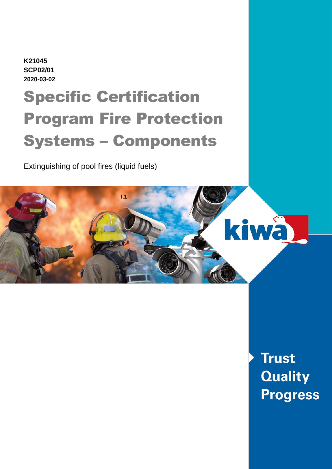**K21045 SCP02/01 2020-03-02**

# Specific Certification Program Fire Protection Systems – Components

Extinguishing of pool fires (liquid fuels)



**Trust Quality Progress**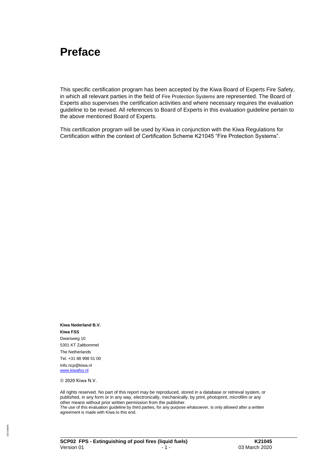#### **Preface**

This specific certification program has been accepted by the Kiwa Board of Experts Fire Safety, in which all relevant parties in the field of Fire Protection Systems are represented. The Board of Experts also supervises the certification activities and where necessary requires the evaluation guideline to be revised. All references to Board of Experts in this evaluation guideline pertain to the above mentioned Board of Experts.

This certification program will be used by Kiwa in conjunction with the Kiwa Regulations for Certification within the context of Certification Scheme K21045 "Fire Protection Systems".

**Kiwa Nederland B.V. Kiwa FSS** Dwarsweg 10 5301 KT Zaltbommel The Netherlands Tel. +31 88 998 51 00 Info.ncp@kiwa.nl [www.kiwafss.nl](http://www.kiwafss.nl/)

© 2020 Kiwa N.V.

All rights reserved. No part of this report may be reproduced, stored in a database or retrieval system, or published, in any form or in any way, electronically, mechanically, by print, photoprint, microfilm or any other means without prior written permission from the publisher.

The use of this evaluation guideline by third parties, for any purpose whatsoever, is only allowed after a written agreement is made with Kiwa to this end.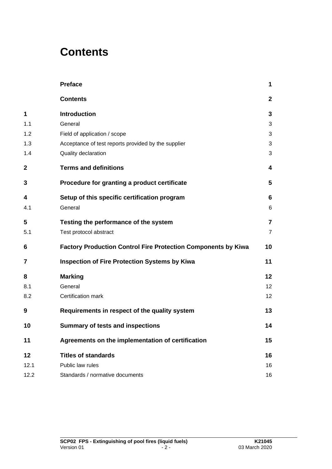### **Contents**

|              | <b>Preface</b>                                                       | 1                 |
|--------------|----------------------------------------------------------------------|-------------------|
|              | <b>Contents</b>                                                      | $\mathbf{2}$      |
| 1            | <b>Introduction</b>                                                  | 3                 |
| 1.1          | General                                                              | 3                 |
| 1.2          | Field of application / scope                                         | 3                 |
| 1.3          | Acceptance of test reports provided by the supplier                  | 3                 |
| 1.4          | Quality declaration                                                  | 3                 |
| $\mathbf{2}$ | <b>Terms and definitions</b>                                         | 4                 |
| 3            | Procedure for granting a product certificate                         | 5                 |
| 4            | Setup of this specific certification program                         | 6                 |
| 4.1          | General                                                              | 6                 |
| 5            | Testing the performance of the system                                | $\overline{7}$    |
| 5.1          | Test protocol abstract                                               | $\overline{7}$    |
| 6            | <b>Factory Production Control Fire Protection Components by Kiwa</b> | 10                |
| 7            | <b>Inspection of Fire Protection Systems by Kiwa</b>                 | 11                |
| 8            | <b>Marking</b>                                                       | $12 \overline{ }$ |
| 8.1          | General                                                              | 12                |
| 8.2          | Certification mark                                                   | 12                |
| 9            | Requirements in respect of the quality system                        | 13                |
| 10           | <b>Summary of tests and inspections</b>                              | 14                |
| 11           | Agreements on the implementation of certification                    | 15                |
| 12           | <b>Titles of standards</b>                                           | 16                |
| 12.1         | Public law rules                                                     | 16                |
| 12.2         | Standards / normative documents                                      | 16                |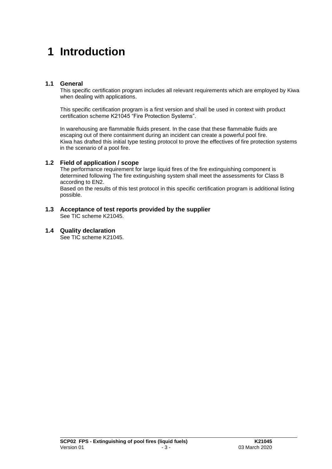### **1 Introduction**

#### **1.1 General**

This specific certification program includes all relevant requirements which are employed by Kiwa when dealing with applications.

This specific certification program is a first version and shall be used in context with product certification scheme K21045 "Fire Protection Systems".

In warehousing are flammable fluids present. In the case that these flammable fluids are escaping out of there containment during an incident can create a powerful pool fire. Kiwa has drafted this initial type testing protocol to prove the effectives of fire protection systems in the scenario of a pool fire.

#### **1.2 Field of application / scope**

The performance requirement for large liquid fires of the fire extinguishing component is determined following The fire extinguishing system shall meet the assessments for Class B according to EN2.

Based on the results of this test protocol in this specific certification program is additional listing possible.

#### **1.3 Acceptance of test reports provided by the supplier**  See TIC scheme K21045.

#### **1.4 Quality declaration**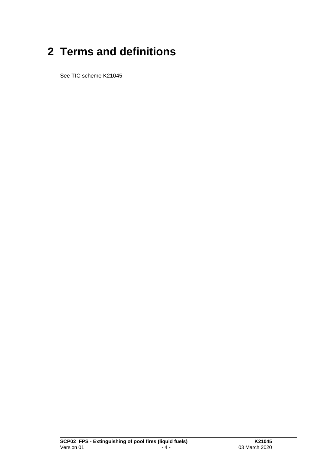# **2 Terms and definitions**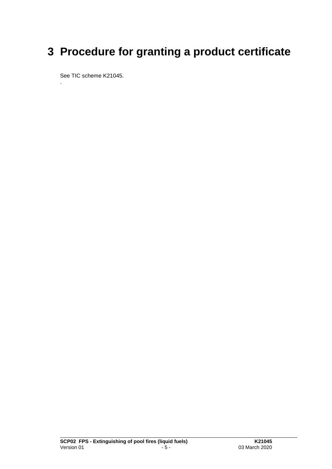## **3 Procedure for granting a product certificate**

See TIC scheme K21045.

.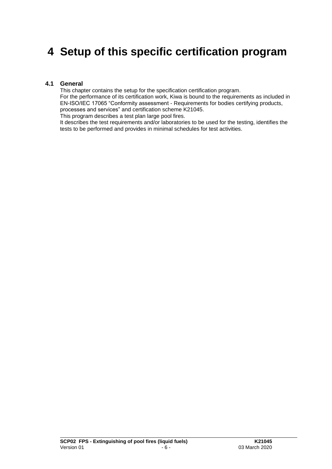### **4 Setup of this specific certification program**

#### **4.1 General**

This chapter contains the setup for the specification certification program. For the performance of its certification work, Kiwa is bound to the requirements as included in EN-ISO/IEC 17065 "Conformity assessment - Requirements for bodies certifying products, processes and services" and certification scheme K21045. This program describes a test plan large pool fires.

It describes the test requirements and/or laboratories to be used for the testing, identifies the tests to be performed and provides in minimal schedules for test activities.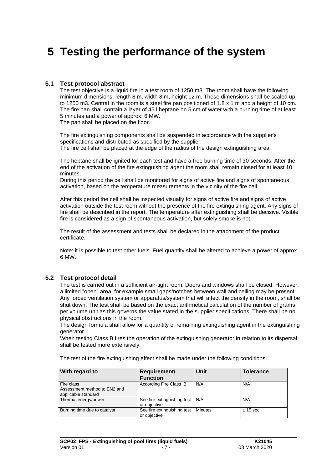### **5 Testing the performance of the system**

#### **5.1 Test protocol abstract**

The test objective is a liquid fire in a test room of 1250 m3. The room shall have the following minimum dimensions: length 8 m, width 8 m, height 12 m. These dimensions shall be scaled up to 1250 m3. Central in the room is a steel fire pan positioned of 1.8 x 1 m and a height of 10 cm. The fire pan shall contain a layer of 45 l heptane on 5 cm of water with a burning time of at least 5 minutes and a power of approx. 6 MW.

The pan shall be placed on the floor.

The fire extinguishing components shall be suspended in accordance with the supplier's specifications and distributed as specified by the supplier. The fire cell shall be placed at the edge of the radius of the design extinguishing area.

The heptane shall be ignited for each test and have a free burning time of 30 seconds. After the end of the activation of the fire extinguishing agent the room shall remain closed for at least 10 minutes.

During this period the cell shall be monitored for signs of active fire and signs of spontaneous activation, based on the temperature measurements in the vicinity of the fire cell.

After this period the cell shall be inspected visually for signs of active fire and signs of active activation outside the test room without the presence of the fire extinguishing agent. Any signs of fire shall be described in the report. The temperature after extinguishing shall be decisive. Visible fire is considered as a sign of spontaneous activation, but solely smoke is not.

The result of the assessment and tests shall be declared in the attachment of the product certificate.

Note: it is possible to test other fuels. Fuel quantity shall be altered to achieve a power of approx. 6 MW.

#### **5.2 Test protocol detail**

The test is carried out in a sufficient air-tight room. Doors and windows shall be closed. However, a limited "open" area, for example small gaps/notches between wall and ceiling may be present. Any forced ventilation system or apparatus/system that will affect the density in the room, shall be shut down. The test shall be based on the exact arithmetical calculation of the number of grams per volume unit as this governs the value stated in the supplier specifications. There shall be no physical obstructions in the room.

The design formula shall allow for a quantity of remaining extinguishing agent in the extinguishing generator.

When testing Class B fires the operation of the extinguishing generator in relation to its dispersal shall be tested more extensively.

The test of the fire extinguishing effect shall be made under the following conditions.

| With regard to                                                    | Requirement/<br><b>Function</b>             | Unit           | <b>Tolerance</b> |
|-------------------------------------------------------------------|---------------------------------------------|----------------|------------------|
| Fire class<br>Assessment method to EN2 and<br>applicable standard | According Fire Class B                      | N/A            | N/A              |
| Thermal energy/power                                              | See fire extinguishing test<br>or objective | N/A            | N/A              |
| Burning time due to catalyst                                      | See fire extinguishing test<br>or objective | <b>Minutes</b> | ± 15 sec         |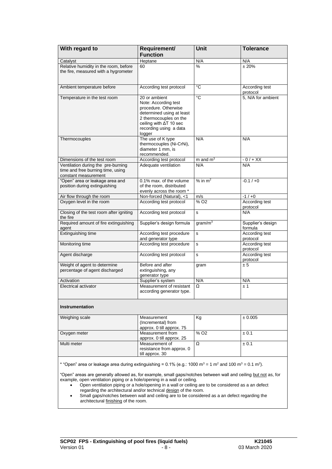| With regard to                                                                                                                                         | Requirement/<br><b>Function</b>                                                                                                                                                    | <b>Unit</b>                  | <b>Tolerance</b>             |  |  |  |  |
|--------------------------------------------------------------------------------------------------------------------------------------------------------|------------------------------------------------------------------------------------------------------------------------------------------------------------------------------------|------------------------------|------------------------------|--|--|--|--|
| Catalyst                                                                                                                                               | Heptane                                                                                                                                                                            | N/A                          | N/A                          |  |  |  |  |
| Relative humidity in the room, before<br>the fire, measured with a hygrometer                                                                          | 60                                                                                                                                                                                 | $\frac{0}{0}$                | ± 20%                        |  |  |  |  |
| Ambient temperature before                                                                                                                             | According test protocol                                                                                                                                                            | °C                           | According test<br>protocol   |  |  |  |  |
| Temperature in the test room                                                                                                                           | 20 or ambient<br>Note: According test<br>procedure. Otherwise<br>determined using at least<br>2 thermocouples on the<br>ceiling with ∆T 10 sec<br>recording using a data<br>logger | °C                           | 5, N/A for ambient           |  |  |  |  |
| Thermocouples                                                                                                                                          | The use of K type<br>thermocouples (Ni-CrNi),<br>diameter 1 mm, is<br>recommended.                                                                                                 | N/A                          | N/A                          |  |  |  |  |
| Dimensions of the test room                                                                                                                            | According test protocol                                                                                                                                                            | $m$ and $m3$                 | $-0/+XX$                     |  |  |  |  |
| Ventilation during the pre-burning<br>time and free burning time, using<br>constant measurement                                                        | Adequate ventilation                                                                                                                                                               | N/A                          | N/A                          |  |  |  |  |
| "Open" area or leakage area and<br>position during extinguishing                                                                                       | 0.1% max, of the volume<br>of the room, distributed<br>evenly across the room *                                                                                                    | $%$ in m <sup>2</sup>        | $-0.1/+0$                    |  |  |  |  |
| Air flow through the room                                                                                                                              | Non-forced (Natural), <1                                                                                                                                                           | m/s                          | $-1/10$                      |  |  |  |  |
| Oxygen level in the room                                                                                                                               | According test protocol                                                                                                                                                            | $\frac{9}{6}$ O <sub>2</sub> | According test<br>protocol   |  |  |  |  |
| Closing of the test room after igniting<br>the fire                                                                                                    | According test protocol                                                                                                                                                            | s                            | N/A                          |  |  |  |  |
| Required amount of fire extinguishing<br>agent                                                                                                         | Supplier's design formula                                                                                                                                                          | gram/ $m3$                   | Supplier's design<br>formula |  |  |  |  |
| Extinguishing time                                                                                                                                     | According test procedure<br>and generator type                                                                                                                                     | s                            | According test<br>protocol   |  |  |  |  |
| Monitoring time                                                                                                                                        | According test procedure                                                                                                                                                           | s                            | According test<br>protocol   |  |  |  |  |
| Agent discharge                                                                                                                                        | According test protocol                                                                                                                                                            | $\mathbf s$                  | According test<br>protocol   |  |  |  |  |
| Weight of agent to determine<br>percentage of agent discharged                                                                                         | Before and after<br>extinguishing, any<br>generator type                                                                                                                           | gram                         | ± 5                          |  |  |  |  |
| Activation                                                                                                                                             | Supplier's system                                                                                                                                                                  | N/A                          | N/A                          |  |  |  |  |
| Electrical activator                                                                                                                                   | Measurement of resistant<br>according generator type.                                                                                                                              | Ω                            | ±1                           |  |  |  |  |
| <b>Instrumentation</b>                                                                                                                                 |                                                                                                                                                                                    |                              |                              |  |  |  |  |
| Weighing scale                                                                                                                                         | Measurement<br>(Incremental) from<br>approx. 0 till approx. 75                                                                                                                     | Kg                           | ± 0.005                      |  |  |  |  |
| Oxygen meter                                                                                                                                           | Measurement from<br>approx. 0 till approx. 25                                                                                                                                      | % O <sub>2</sub>             | ± 0.1                        |  |  |  |  |
| Multi meter                                                                                                                                            | Measurement of<br>resistance from approx. 0<br>till approx. 30                                                                                                                     | Ω                            | ± 0.1                        |  |  |  |  |
| * "Open" area or leakage area during extinguishing = 0.1% (e.g.: 1000 m <sup>3</sup> = 1 m <sup>2</sup> and 100 m <sup>3</sup> = 0.1 m <sup>2</sup> ). |                                                                                                                                                                                    |                              |                              |  |  |  |  |

"Open" areas are generally allowed as, for example, small gaps/notches between wall and ceiling but not as, for example, open ventilation piping or a hole/opening in a wall or ceiling.

• Open ventilation piping or a hole/opening in a wall or ceiling are to be considered as a an defect regarding the architectural and/or technical design of the room.

Small gaps/notches between wall and ceiling are to be considered as a an defect regarding the architectural finishing of the room.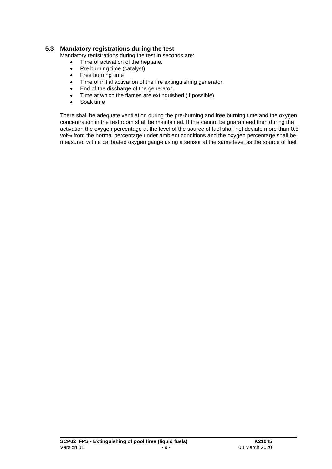#### **5.3 Mandatory registrations during the test**

Mandatory registrations during the test in seconds are:

- Time of activation of the heptane.
- Pre burning time (catalyst)
- Free burning time
- Time of initial activation of the fire extinguishing generator.
- End of the discharge of the generator.
- Time at which the flames are extinguished (if possible)
- Soak time

There shall be adequate ventilation during the pre-burning and free burning time and the oxygen concentration in the test room shall be maintained. If this cannot be guaranteed then during the activation the oxygen percentage at the level of the source of fuel shall not deviate more than 0.5 vol% from the normal percentage under ambient conditions and the oxygen percentage shall be measured with a calibrated oxygen gauge using a sensor at the same level as the source of fuel.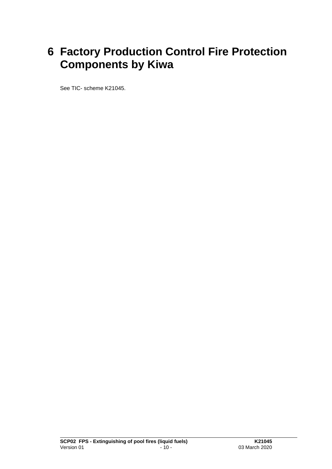### **6 Factory Production Control Fire Protection Components by Kiwa**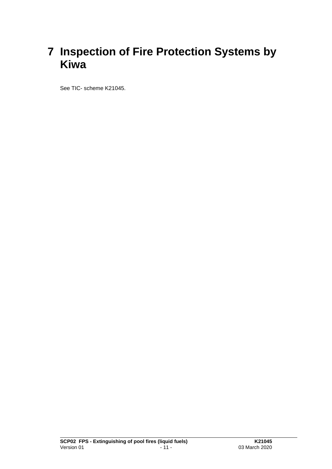### **7 Inspection of Fire Protection Systems by Kiwa**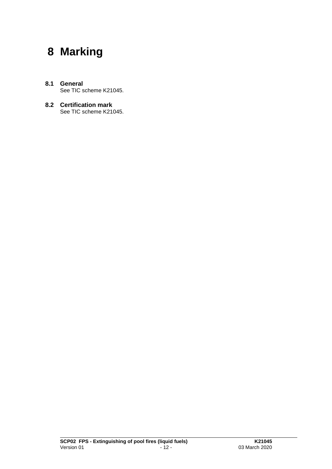### **8 Marking**

- **8.1 General** See TIC scheme K21045.
- **8.2 Certification mark** See TIC scheme K21045.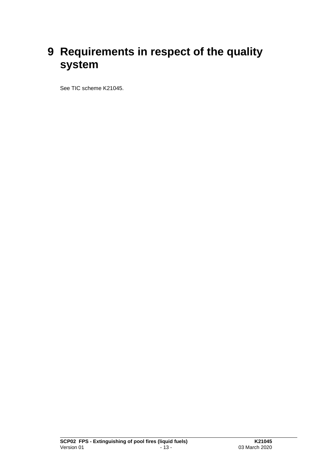### **9 Requirements in respect of the quality system**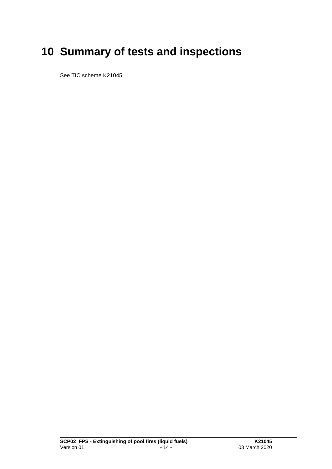# **10 Summary of tests and inspections**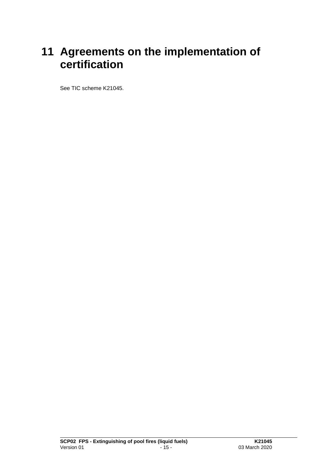### **11 Agreements on the implementation of certification**